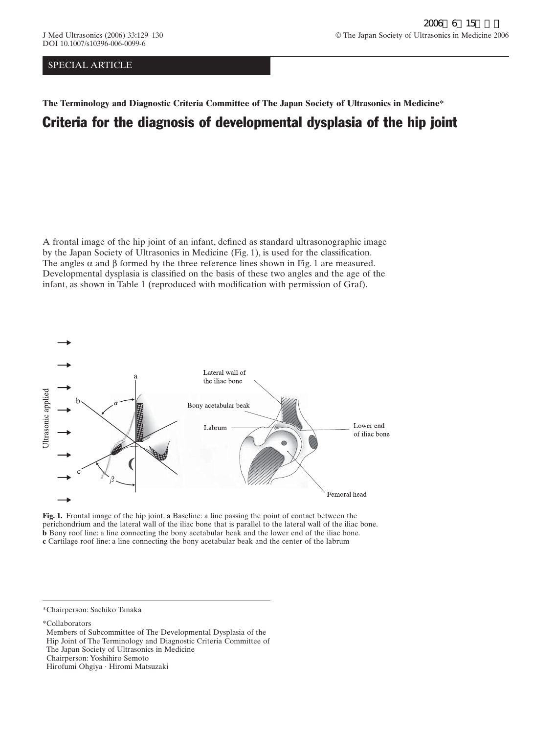## SPECIAL ARTICLE

## **The Terminology and Diagnostic Criteria Committee of The Japan Society of Ultrasonics in Medicine\*** Criteria for the diagnosis of developmental dysplasia of the hip joint

A frontal image of the hip joint of an infant, defined as standard ultrasonographic image by the Japan Society of Ultrasonics in Medicine (Fig. 1), is used for the classification. The angles  $\alpha$  and  $\beta$  formed by the three reference lines shown in Fig. 1 are measured. Developmental dysplasia is classified on the basis of these two angles and the age of the infant, as shown in Table 1 (reproduced with modification with permission of Graf).



**Fig. 1.** Frontal image of the hip joint. **a** Baseline: a line passing the point of contact between the perichondrium and the lateral wall of the iliac bone that is parallel to the lateral wall of the iliac bone. **b** Bony roof line: a line connecting the bony acetabular beak and the lower end of the iliac bone. **c** Cartilage roof line: a line connecting the bony acetabular beak and the center of the labrum

\*Chairperson: Sachiko Tanaka

\*Collaborators

Members of Subcommittee of The Developmental Dysplasia of the Hip Joint of The Terminology and Diagnostic Criteria Committee of The Japan Society of Ultrasonics in Medicine Chairperson: Yoshihiro Semoto Hirofumi Ohgiya · Hiromi Matsuzaki